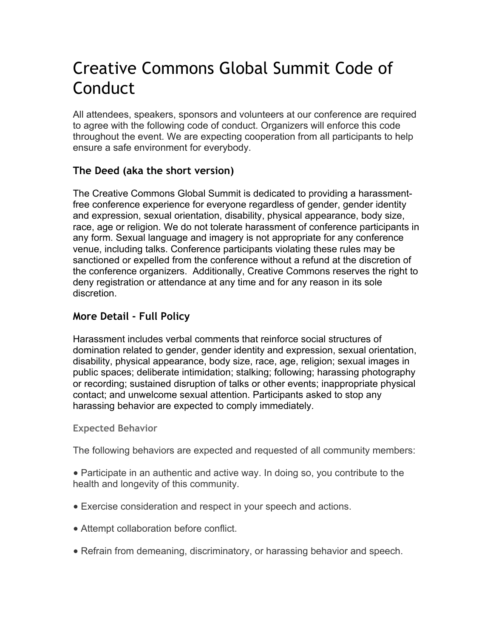# Creative Commons Global Summit Code of **Conduct**

All attendees, speakers, sponsors and volunteers at our conference are required to agree with the following code of conduct. Organizers will enforce this code throughout the event. We are expecting cooperation from all participants to help ensure a safe environment for everybody.

## **The Deed (aka the short version)**

The Creative Commons Global Summit is dedicated to providing a harassmentfree conference experience for everyone regardless of gender, gender identity and expression, sexual orientation, disability, physical appearance, body size, race, age or religion. We do not tolerate harassment of conference participants in any form. Sexual language and imagery is not appropriate for any conference venue, including talks. Conference participants violating these rules may be sanctioned or expelled from the conference without a refund at the discretion of the conference organizers. Additionally, Creative Commons reserves the right to deny registration or attendance at any time and for any reason in its sole discretion.

### **More Detail - Full Policy**

Harassment includes verbal comments that reinforce social structures of domination related to gender, gender identity and expression, sexual orientation, disability, physical appearance, body size, race, age, religion; sexual images in public spaces; deliberate intimidation; stalking; following; harassing photography or recording; sustained disruption of talks or other events; inappropriate physical contact; and unwelcome sexual attention. Participants asked to stop any harassing behavior are expected to comply immediately.

**Expected Behavior** 

The following behaviors are expected and requested of all community members:

• Participate in an authentic and active way. In doing so, you contribute to the health and longevity of this community.

- Exercise consideration and respect in your speech and actions.
- Attempt collaboration before conflict.
- Refrain from demeaning, discriminatory, or harassing behavior and speech.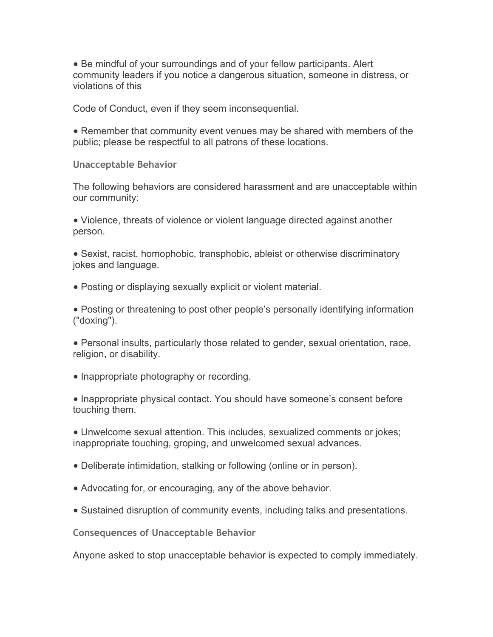• Be mindful of your surroundings and of your fellow participants. Alert community leaders if you notice a dangerous situation, someone in distress, or violations of this

Code of Conduct, even if they seem inconsequential.

• Remember that community event venues may be shared with members of the public; please be respectful to all patrons of these locations.

**Unacceptable Behavior** 

The following behaviors are considered harassment and are unacceptable within our community:

• Violence, threats of violence or violent language directed against another person.

• Sexist, racist, homophobic, transphobic, ableist or otherwise discriminatory jokes and language.

• Posting or displaying sexually explicit or violent material.

• Posting or threatening to post other people's personally identifying information ("doxing").

● Personal insults, particularly those related to gender, sexual orientation, race, religion, or disability.

• Inappropriate photography or recording.

• Inappropriate physical contact. You should have someone's consent before touching them.

• Unwelcome sexual attention. This includes, sexualized comments or jokes; inappropriate touching, groping, and unwelcomed sexual advances.

- Deliberate intimidation, stalking or following (online or in person).
- Advocating for, or encouraging, any of the above behavior.
- Sustained disruption of community events, including talks and presentations.

**Consequences of Unacceptable Behavior** 

Anyone asked to stop unacceptable behavior is expected to comply immediately.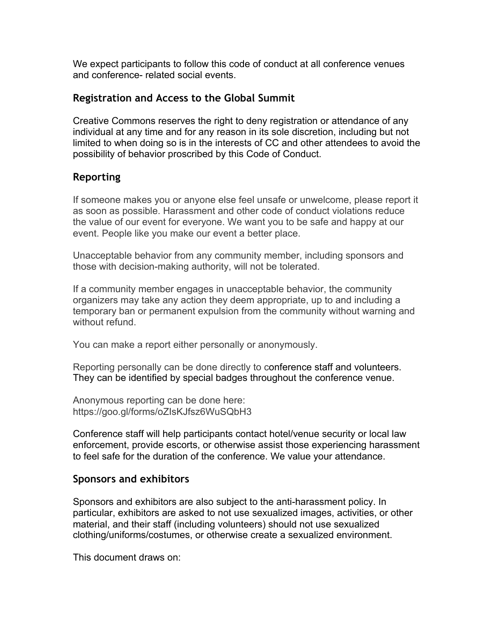We expect participants to follow this code of conduct at all conference venues and conference- related social events.

#### **Registration and Access to the Global Summit**

Creative Commons reserves the right to deny registration or attendance of any individual at any time and for any reason in its sole discretion, including but not limited to when doing so is in the interests of CC and other attendees to avoid the possibility of behavior proscribed by this Code of Conduct.

#### **Reporting**

If someone makes you or anyone else feel unsafe or unwelcome, please report it as soon as possible. Harassment and other code of conduct violations reduce the value of our event for everyone. We want you to be safe and happy at our event. People like you make our event a better place.

Unacceptable behavior from any community member, including sponsors and those with decision-making authority, will not be tolerated.

If a community member engages in unacceptable behavior, the community organizers may take any action they deem appropriate, up to and including a temporary ban or permanent expulsion from the community without warning and without refund.

You can make a report either personally or anonymously.

Reporting personally can be done directly to conference staff and volunteers. They can be identified by special badges throughout the conference venue.

Anonymous reporting can be done here: https://goo.gl/forms/oZIsKJfsz6WuSQbH3

Conference staff will help participants contact hotel/venue security or local law enforcement, provide escorts, or otherwise assist those experiencing harassment to feel safe for the duration of the conference. We value your attendance.

#### **Sponsors and exhibitors**

Sponsors and exhibitors are also subject to the anti-harassment policy. In particular, exhibitors are asked to not use sexualized images, activities, or other material, and their staff (including volunteers) should not use sexualized clothing/uniforms/costumes, or otherwise create a sexualized environment.

This document draws on: